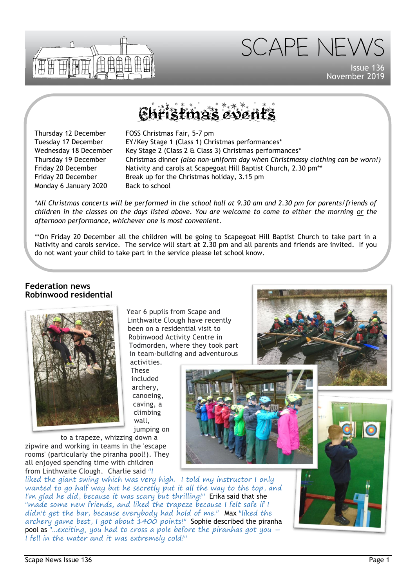



Issue 136 November 2019

# Pistmas eve

Monday 6 January 2020 Back to school

Thursday 12 December FOSS Christmas Fair, 5-7 pm Tuesday 17 December EY/Key Stage 1 (Class 1) Christmas performances\* Wednesday 18 December Key Stage 2 (Class 2  $\&$  Class 3) Christmas performances\* Thursday 19 December Christmas dinner *(also non-uniform day when Christmassy clothing can be worn!)* Friday 20 December **Nativity and carols at Scapegoat Hill Baptist Church, 2.30 pm\*\*** Friday 20 December Break up for the Christmas holiday, 3.15 pm

*\*All Christmas concerts will be performed in the school hall at 9.30 am and 2.30 pm for parents/friends of children in the classes on the days listed above. You are welcome to come to either the morning or the afternoon performance, whichever one is most convenient.*

\*\*On Friday 20 December all the children will be going to Scapegoat Hill Baptist Church to take part in a Nativity and carols service. The service will start at 2.30 pm and all parents and friends are invited. If you do not want your child to take part in the service please let school know.

### **Federation news Robinwood residential**



Year 6 pupils from Scape and Linthwaite Clough have recently been on a residential visit to Robinwood Activity Centre in Todmorden, where they took part in team-building and adventurous activities.

These included archery, canoeing, caving, a climbing wall, jumping on



to a trapeze, whizzing down a zipwire and working in teams in the 'escape rooms' (particularly the piranha pool!). They all enjoyed spending time with children from Linthwaite Clough. Charlie said "I

liked the giant swing which was very high. I told my instructor I only wanted to go half way but he secretly put it all the way to the top, and I'm glad he did, because it was scary but thrilling!" Erika said that she "made some new friends, and liked the trapeze because I felt safe if I didn't get the bar, because everybody had hold of me." Max "liked the archery game best, I got about 1400 points!" Sophie described the piranha pool as "...exciting, you had to cross a pole before the piranhas got you – I fell in the water and it was extremely cold!"